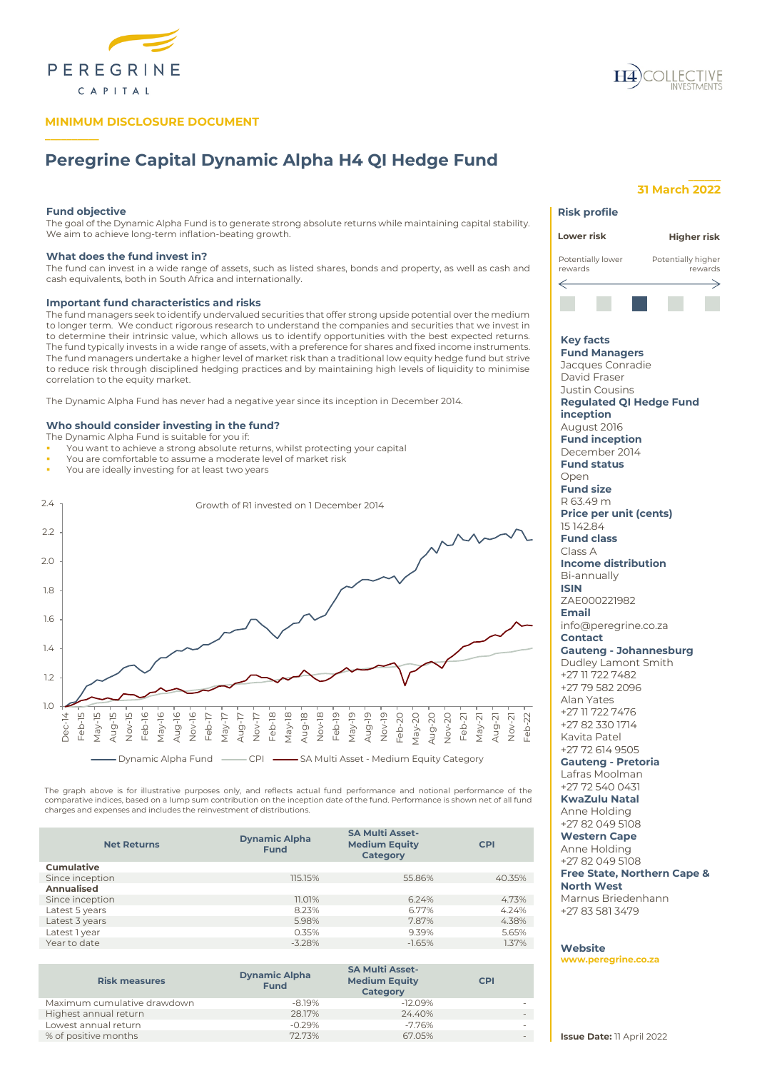

# **MINIMUM DISCLOSURE DOCUMENT**



# **Peregrine Capital Dynamic Alpha H4 QI Hedge Fund**

## **Fund objective**

**\_\_\_\_\_\_\_\_\_\_**

The goal of the Dynamic Alpha Fund is to generate strong absolute returns while maintaining capital stability. We aim to achieve long-term inflation-beating growth.

# **What does the fund invest in?**

The fund can invest in a wide range of assets, such as listed shares, bonds and property, as well as cash and cash equivalents, both in South Africa and internationally.

## **Important fund characteristics and risks**

The fund managers seek to identify undervalued securities that offer strong upside potential over the medium to longer term. We conduct rigorous research to understand the companies and securities that we invest in to determine their intrinsic value, which allows us to identify opportunities with the best expected returns. The fund typically invests in a wide range of assets, with a preference for shares and fixed income instruments. The fund managers undertake a higher level of market risk than a traditional low equity hedge fund but strive to reduce risk through disciplined hedging practices and by maintaining high levels of liquidity to minimise correlation to the equity market.

The Dynamic Alpha Fund has never had a negative year since its inception in December 2014.

# **Who should consider investing in the fund?**

- The Dynamic Alpha Fund is suitable for you if:
- You want to achieve a strong absolute returns, whilst protecting your capital
- You are comfortable to assume a moderate level of market risk
- You are ideally investing for at least two years



The graph above is for illustrative purposes only, and reflects actual fund performance and notional performance of the<br>comparative indices, based on a lump sum contribution on the inception date of the fund. Performance i charges and expenses and includes the reinvestment of distributions.

| <b>Net Returns</b> | <b>Dynamic Alpha</b><br><b>Fund</b> | <b>SA Multi Asset-</b><br><b>Medium Equity</b><br>Category | <b>CPI</b> |
|--------------------|-------------------------------------|------------------------------------------------------------|------------|
| <b>Cumulative</b>  |                                     |                                                            |            |
| Since inception    | 115.15%                             | 55.86%                                                     | 40.35%     |
| Annualised         |                                     |                                                            |            |
| Since inception    | 11.01%                              | 6.24%                                                      | 4.73%      |
| Latest 5 years     | 8.23%                               | 6.77%                                                      | 4.24%      |
| Latest 3 years     | 5.98%                               | 7.87%                                                      | 4.38%      |
| Latest 1 year      | 0.35%                               | 9.39%                                                      | 5.65%      |
| Year to date       | $-3.28%$                            | $-1.65%$                                                   | 1.37%      |

| <b>Risk measures</b>        | <b>Dynamic Alpha</b><br><b>Fund</b> | <b>SA Multi Asset-</b><br><b>Medium Equity</b><br><b>Category</b> | <b>CPI</b> |
|-----------------------------|-------------------------------------|-------------------------------------------------------------------|------------|
| Maximum cumulative drawdown | $-8.19\%$                           | $-12.09%$                                                         |            |
| Highest annual return       | 28.17%                              | 24.40%                                                            |            |
| Lowest annual return        | $-0.29%$                            | -7.76%                                                            |            |
| % of positive months        | 72.73%                              | 67.05%                                                            |            |

## **\_\_\_\_\_\_ 31 March 2022**

**Risk profile**

# **Lower risk Higher risk** Potentially lower Potentially higher rewards rewards ⇐ **Key facts Fund Managers** Jacques Conradie David Fraser Justin Cousins **Regulated QI Hedge Fund inception** August 2016 **Fund inception** December 2014 **Fund status** Open **Fund size** R 63.49 m **Price per unit (cents)** 15 142.84 **Fund class** Class A **Income distribution** Bi-annually **ISIN** ZAE000221982 **Email** info@peregrine.co.za **Contact Gauteng - Johannesburg** Dudley Lamont Smith +27 11 722 7482 +27 79 582 2096 Alan Yates +27 11 722 7476 +27 82 330 1714 Kavita Patel +27 72 614 9505 **Gauteng - Pretoria** Lafras Moolman +27 72 540 0431 **KwaZulu Natal** Anne Holding +27 82 049 5108 **Western Cape** Anne Holding +27 82 049 5108 **Free State, Northern Cape & North West** Marnus Briedenhann +27 83 581 3479

# **Website**

**[www.peregrine.co.za](http://www.peregrine.co.za/)**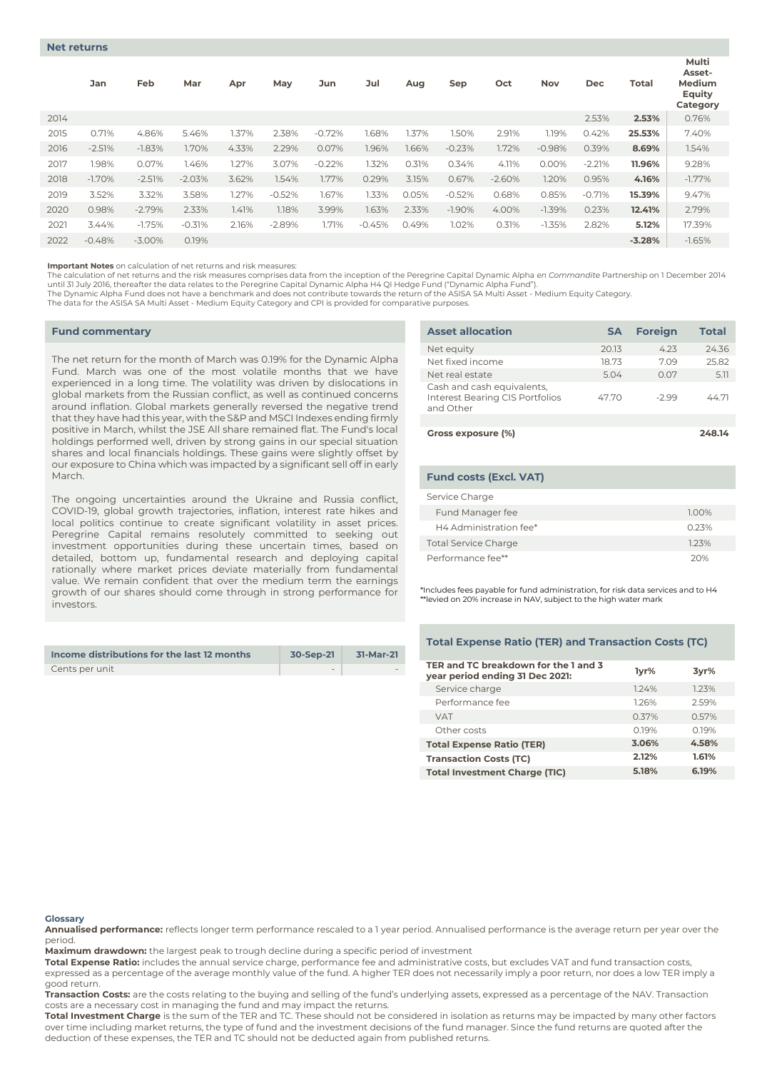|      | Jan      | Feb       | Mar      | Apr   | May      | Jun      | Jul      | Aug   | Sep       | Oct      | <b>Nov</b> | Dec      | Total    | Multi<br>Asset-<br>Medium<br><b>Equity</b><br>Category |
|------|----------|-----------|----------|-------|----------|----------|----------|-------|-----------|----------|------------|----------|----------|--------------------------------------------------------|
| 2014 |          |           |          |       |          |          |          |       |           |          |            | 2.53%    | 2.53%    | 0.76%                                                  |
| 2015 | 0.71%    | 4.86%     | 5.46%    | 1.37% | 2.38%    | $-0.72%$ | 1.68%    | 1.37% | 1.50%     | 2.91%    | 1.19%      | 0.42%    | 25.53%   | 7.40%                                                  |
| 2016 | $-2.51%$ | $-1.83%$  | 1.70%    | 4.33% | 2.29%    | 0.07%    | 1.96%    | 1.66% | $-0.23%$  | 1.72%    | $-0.98%$   | 0.39%    | 8.69%    | 1.54%                                                  |
| 2017 | 1.98%    | 0.07%     | 1.46%    | 1.27% | 3.07%    | $-0.22%$ | 1.32%    | 0.31% | 0.34%     | 4.11%    | 0.00%      | $-2.21%$ | 11.96%   | 9.28%                                                  |
| 2018 | $-1.70%$ | $-2.51%$  | $-2.03%$ | 3.62% | 1.54%    | 1.77%    | 0.29%    | 3.15% | 0.67%     | $-2.60%$ | 1.20%      | 0.95%    | 4.16%    | $-1.77\%$                                              |
| 2019 | 3.52%    | 3.32%     | 3.58%    | 1.27% | $-0.52%$ | 1.67%    | 1.33%    | 0.05% | $-0.52%$  | 0.68%    | 0.85%      | $-0.71%$ | 15.39%   | 9.47%                                                  |
| 2020 | 0.98%    | $-2.79%$  | 2.33%    | 1.41% | 1.18%    | 3.99%    | 1.63%    | 2.33% | $-1.90\%$ | 4.00%    | $-1.39%$   | 0.23%    | 12.41%   | 2.79%                                                  |
| 2021 | 3.44%    | $-1.75%$  | $-0.31%$ | 2.16% | $-2.89%$ | 1.71%    | $-0.45%$ | 0.49% | 1.02%     | 0.31%    | $-1.35%$   | 2.82%    | 5.12%    | 17.39%                                                 |
| 2022 | $-0.48%$ | $-3.00\%$ | 0.19%    |       |          |          |          |       |           |          |            |          | $-3.28%$ | $-1.65%$                                               |

**Important Notes** on calculation of net returns and risk measures:

The calculation of net returns and the risk measures comprises data from the inception of the Peregrine Capital Dynamic Alpha *en Commandite* Partnership on 1 December 2014 until 31 July 2016, thereafter the data relates to the Peregrine Capital Dynamic Alpha H4 QI Hedge Fund ("Dynamic Alpha Fund").<br>The Dynamic Alpha Fund does not have a benchmark and does not contribute towards the return of

The data for the ASISA SA Multi Asset - Medium Equity Category and CPI is provided for comparative purposes.

#### **Fund commentary**

The net return for the month of March was 0.19% for the Dynamic Alpha Fund. March was one of the most volatile months that we have experienced in a long time. The volatility was driven by dislocations in global markets from the Russian conflict, as well as continued concerns around inflation. Global markets generally reversed the negative trend that they have had this year, with the S&P and MSCI Indexes ending firmly positive in March, whilst the JSE All share remained flat. The Fund's local holdings performed well, driven by strong gains in our special situation shares and local financials holdings. These gains were slightly offset by our exposure to China which was impacted by a significant sell off in early March.

The ongoing uncertainties around the Ukraine and Russia conflict, COVID-19, global growth trajectories, inflation, interest rate hikes and local politics continue to create significant volatility in asset prices. Peregrine Capital remains resolutely committed to seeking out investment opportunities during these uncertain times, based on detailed, bottom up, fundamental research and deploying capital rationally where market prices deviate materially from fundamental value. We remain confident that over the medium term the earnings growth of our shares should come through in strong performance for investors.

| Income distributions for the last 12 months | 30-Sep-21 | 31-Mar-21 |
|---------------------------------------------|-----------|-----------|
| Cents per unit                              | $\sim$    |           |

| <b>Asset allocation</b>                                                    | <b>SA</b> | <b>Foreign</b> | <b>Total</b> |
|----------------------------------------------------------------------------|-----------|----------------|--------------|
| Net equity                                                                 | 20.13     | 4.23           | 24.36        |
| Net fixed income                                                           | 18.73     | 7.09           | 25.82        |
| Net real estate                                                            | 5.04      | 0.07           | 5.11         |
| Cash and cash equivalents,<br>Interest Bearing CIS Portfolios<br>and Other | 47.70     | $-299$         | 4471         |
|                                                                            |           |                |              |
| Gross exposure (%)                                                         |           |                | 248.14       |

| <b>Fund costs (Excl. VAT)</b> |       |
|-------------------------------|-------|
| Service Charge                |       |
| Fund Manager fee              | 1.00% |
| H4 Administration fee*        | 0.23% |
| <b>Total Service Charge</b>   | 123%  |
| Performance fee**             | 20%   |

\*Includes fees payable for fund administration, for risk data services and to H4  $^*$ levied on 20% increase in NAV, subject to the high water mark

## **Total Expense Ratio (TER) and Transaction Costs (TC)**

| TER and TC breakdown for the 1 and 3<br>year period ending 31 Dec 2021: | 1yr%  | 3yr%  |
|-------------------------------------------------------------------------|-------|-------|
| Service charge                                                          | 124%  | 1.23% |
| Performance fee                                                         | 126%  | 2.59% |
| <b>VAT</b>                                                              | 0.37% | 0.57% |
| Other costs                                                             | O 19% | 0.19% |
| <b>Total Expense Ratio (TER)</b>                                        | 3.06% | 4.58% |
| <b>Transaction Costs (TC)</b>                                           | 2.12% | 1.61% |
| <b>Total Investment Charge (TIC)</b>                                    | 5.18% | 6.19% |

#### **Glossary**

**Annualised performance:** reflects longer term performance rescaled to a 1 year period. Annualised performance is the average return per year over the period.

**Maximum drawdown:** the largest peak to trough decline during a specific period of investment

**Total Expense Ratio:** includes the annual service charge, performance fee and administrative costs, but excludes VAT and fund transaction costs, expressed as a percentage of the average monthly value of the fund. A higher TER does not necessarily imply a poor return, nor does a low TER imply a good return.

**Transaction Costs:** are the costs relating to the buying and selling of the fund's underlying assets, expressed as a percentage of the NAV. Transaction costs are a necessary cost in managing the fund and may impact the returns.

**Total Investment Charge** is the sum of the TER and TC. These should not be considered in isolation as returns may be impacted by many other factors over time including market returns, the type of fund and the investment decisions of the fund manager. Since the fund returns are quoted after the deduction of these expenses, the TER and TC should not be deducted again from published returns.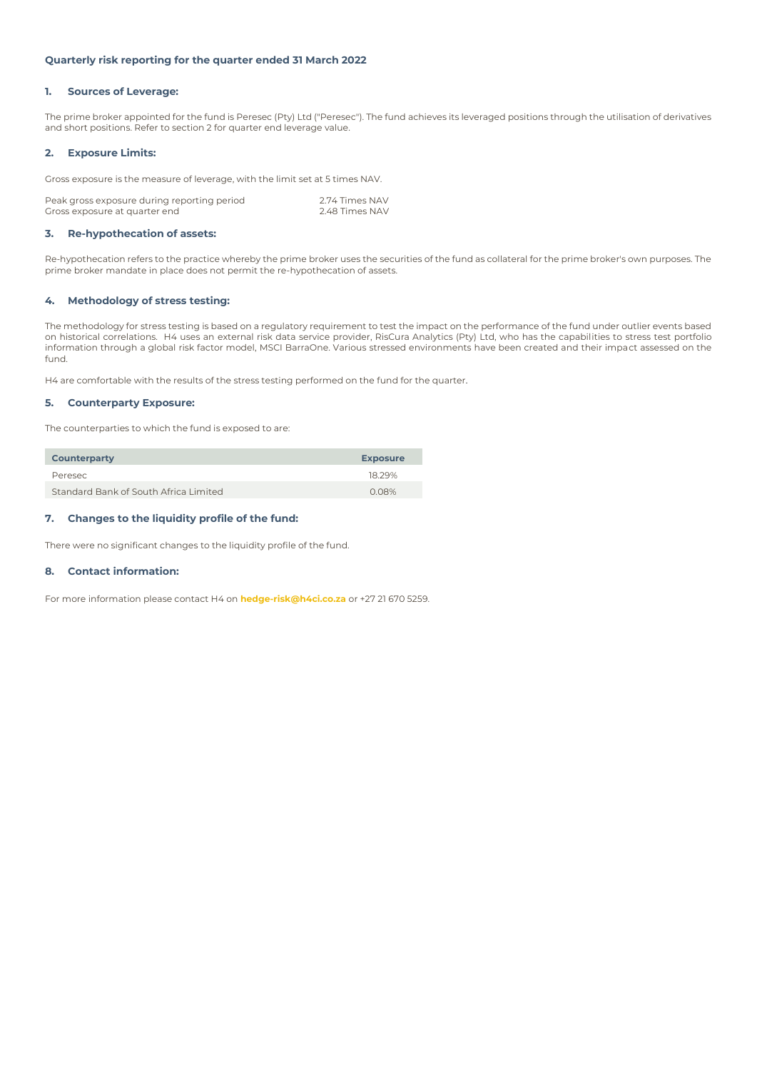# **Quarterly risk reporting for the quarter ended 31 March 2022**

## **1. Sources of Leverage:**

The prime broker appointed for the fund is Peresec (Pty) Ltd ("Peresec"). The fund achieves its leveraged positions through the utilisation of derivatives and short positions. Refer to section 2 for quarter end leverage value.

# **2. Exposure Limits:**

Gross exposure is the measure of leverage, with the limit set at 5 times NAV.

| Peak gross exposure during reporting period | 2.74 Times NAV |
|---------------------------------------------|----------------|
| Gross exposure at quarter end               | 2.48 Times NAV |

## **3. Re-hypothecation of assets:**

Re-hypothecation refers to the practice whereby the prime broker uses the securities of the fund as collateral for the prime broker's own purposes. The prime broker mandate in place does not permit the re-hypothecation of assets.

# **4. Methodology of stress testing:**

The methodology for stress testing is based on a regulatory requirement to test the impact on the performance of the fund under outlier events based on historical correlations. H4 uses an external risk data service provider, RisCura Analytics (Pty) Ltd, who has the capabilities to stress test portfolio information through a global risk factor model, MSCI BarraOne. Various stressed environments have been created and their impact assessed on the fund.

H4 are comfortable with the results of the stress testing performed on the fund for the quarter.

## **5. Counterparty Exposure:**

The counterparties to which the fund is exposed to are:

| <b>Counterparty</b>                   | <b>Exposure</b> |
|---------------------------------------|-----------------|
| Peresec                               | 18.29%          |
| Standard Bank of South Africa Limited | 0.08%           |

# **7. Changes to the liquidity profile of the fund:**

There were no significant changes to the liquidity profile of the fund.

# **8. Contact information:**

For more information please contact H4 on **hedge-risk@h4ci.co.za** or +27 21 670 5259.